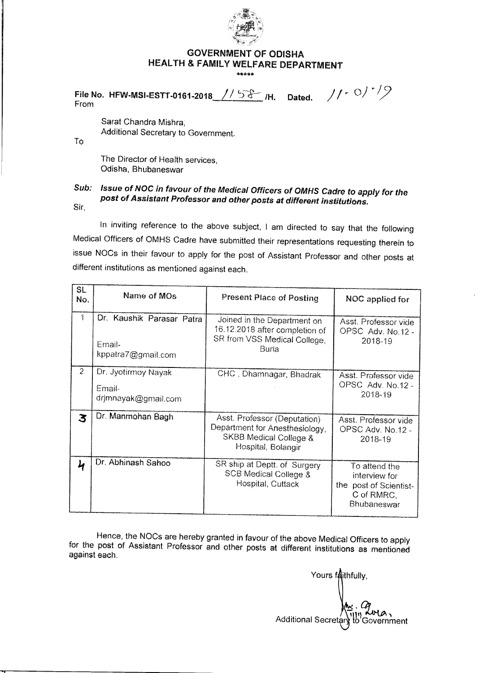

## **GOVERNMENT OF ODISHA HEALTH & FAMILY WELFARE DEPARTMENT**

\*\*\*\*\*

**File No. HFW-MSI-ESTT-0161-2018** // 5 & /H. Dated. // 1 0 / 1 / 9 From

Sarat Chandra Mishra, Additional Secretary to Government.

To

The Director of Health services, Odisha, Bhubaneswar

## Sub: Issue of NOC in favour of the Medical Officers of OMHS Cadre to apply for the post of Assistant Professor and other posts at different institutions. Sir,

In inviting reference to the above subject, I am directed to say that the following Medical Officers of OMHS Cadre have submitted their representations requesting therein to issue NOCs in their favour to apply for the post of Assistant Professor and other posts at different institutions as mentioned against each.

| SL             |                           |                                                                  |                                      |
|----------------|---------------------------|------------------------------------------------------------------|--------------------------------------|
| No.            | Name of MOs               | <b>Present Place of Posting</b>                                  | NOC applied for                      |
|                |                           |                                                                  |                                      |
| $\uparrow$     | Dr. Kaushik Parasar Patra | Joined in the Department on                                      | Asst. Professor vide                 |
|                |                           | 16.12.2018 after completion of                                   | OPSC Adv. No.12 -                    |
|                | Email-                    | SR from VSS Medical College,                                     | 2018-19                              |
|                | kppatra7@gmail.com        | Buria                                                            |                                      |
|                |                           |                                                                  |                                      |
| $\overline{c}$ | Dr. Jyotirmoy Nayak       | CHC, Dhamnagar, Bhadrak                                          | Asst. Professor vide                 |
|                | Email-                    |                                                                  | OPSC Adv. No.12 -                    |
|                | drjmnayak@gmail.com       |                                                                  | 2018-19                              |
|                |                           |                                                                  |                                      |
| 3              | Dr. Manmohan Bagh         | Asst. Professor (Deputation)                                     | Asst. Professor vide                 |
|                |                           | Department for Anesthesiology,                                   | OPSC Adv. No.12 -                    |
|                |                           | SKBB Medical College &                                           | 2018-19                              |
|                |                           | Hospital, Bolangir                                               |                                      |
|                | Dr. Abhinash Sahoo        |                                                                  |                                      |
| 4              |                           | SR ship at Deptt. of Surgery<br><b>SCB Medical College &amp;</b> | To attend the                        |
|                |                           | Hospital, Cuttack                                                | interview for                        |
|                |                           |                                                                  | the post of Scientist-<br>C of RMRC. |
|                |                           |                                                                  | Bhubaneswar                          |
|                |                           |                                                                  |                                      |

Hence, the NOCs are hereby granted in favour of the above Medical Officers to apply for the post of Assistant Professor and other posts at different institutions as mentioned against each.

Yours faithfully, Additional Secretary to Government